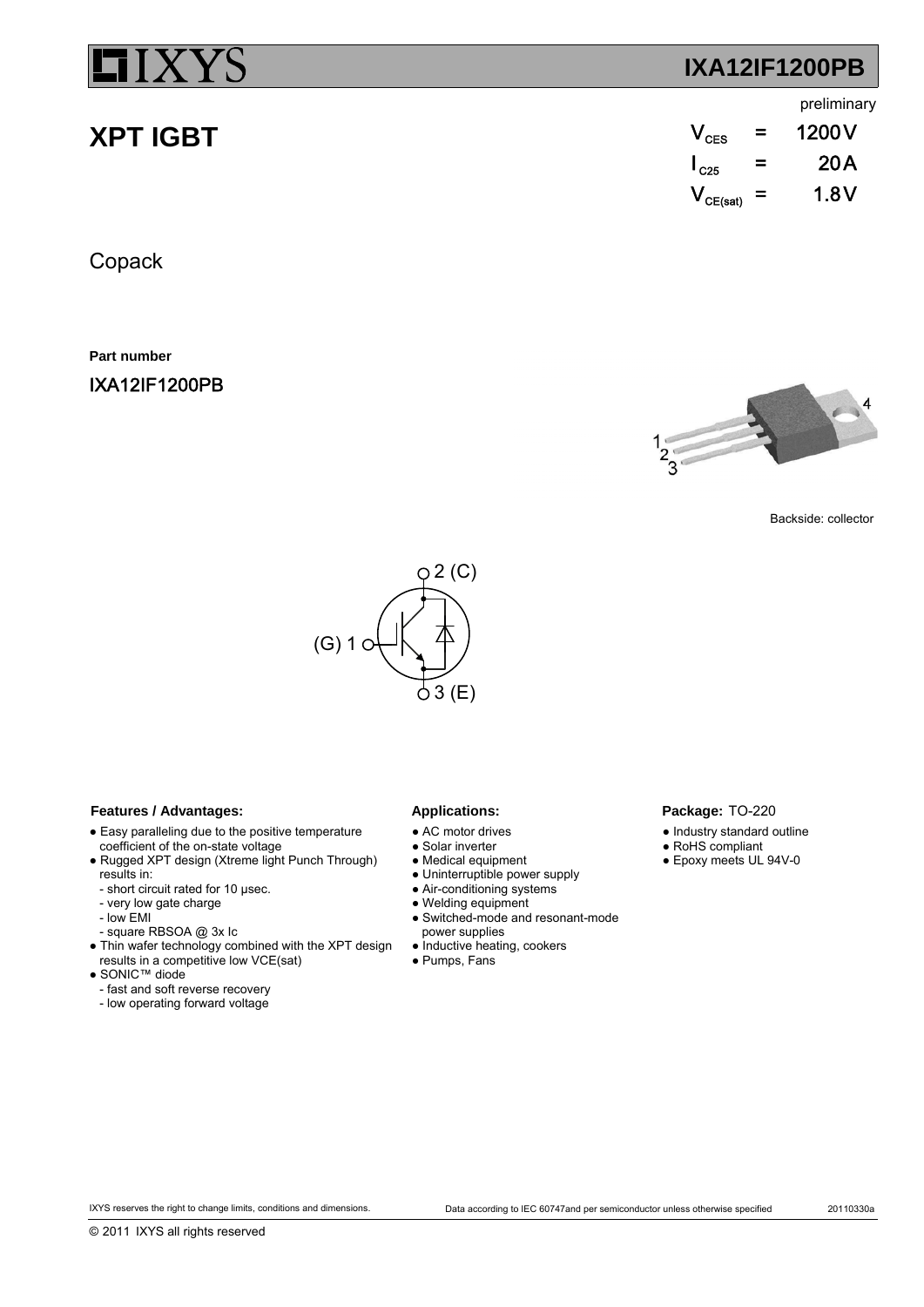# **XPT IGBT**

Copack

**Part number**

IXA12IF1200PB



 $V_{\text{CES}}$ 

Backside: collector



### Features / Advantages: Applications:

- Easy paralleling due to the positive temperature coefficient of the on-state voltage
- Rugged XPT design (Xtreme light Punch Through) results in:
- short circuit rated for 10 µsec.
- very low gate charge
- low EMI
- square RBSOA @ 3x Ic
- Thin wafer technology combined with the XPT design
- results in a competitive low VCE(sat)
- SONIC™ diode
- fast and soft reverse recovery
- low operating forward voltage

- AC motor drives
- Solar inverter
- Medical equipment
- Uninterruptible power supply
- Air-conditioning systems
- Welding equipment
- Switched-mode and resonant-mode power supplies
- Inductive heating, cookers
- Pumps, Fans

### Package: TO-220

- Industry standard outline
- RoHS compliant
- Epoxy meets UL 94V-0

## **IXA12IF1200PB**

 $I_{c25}$  = 20A  $V_{CE(sat)} = 1.8V$ 

 $V_{\text{ces}}$  = 1200V

preliminary

20A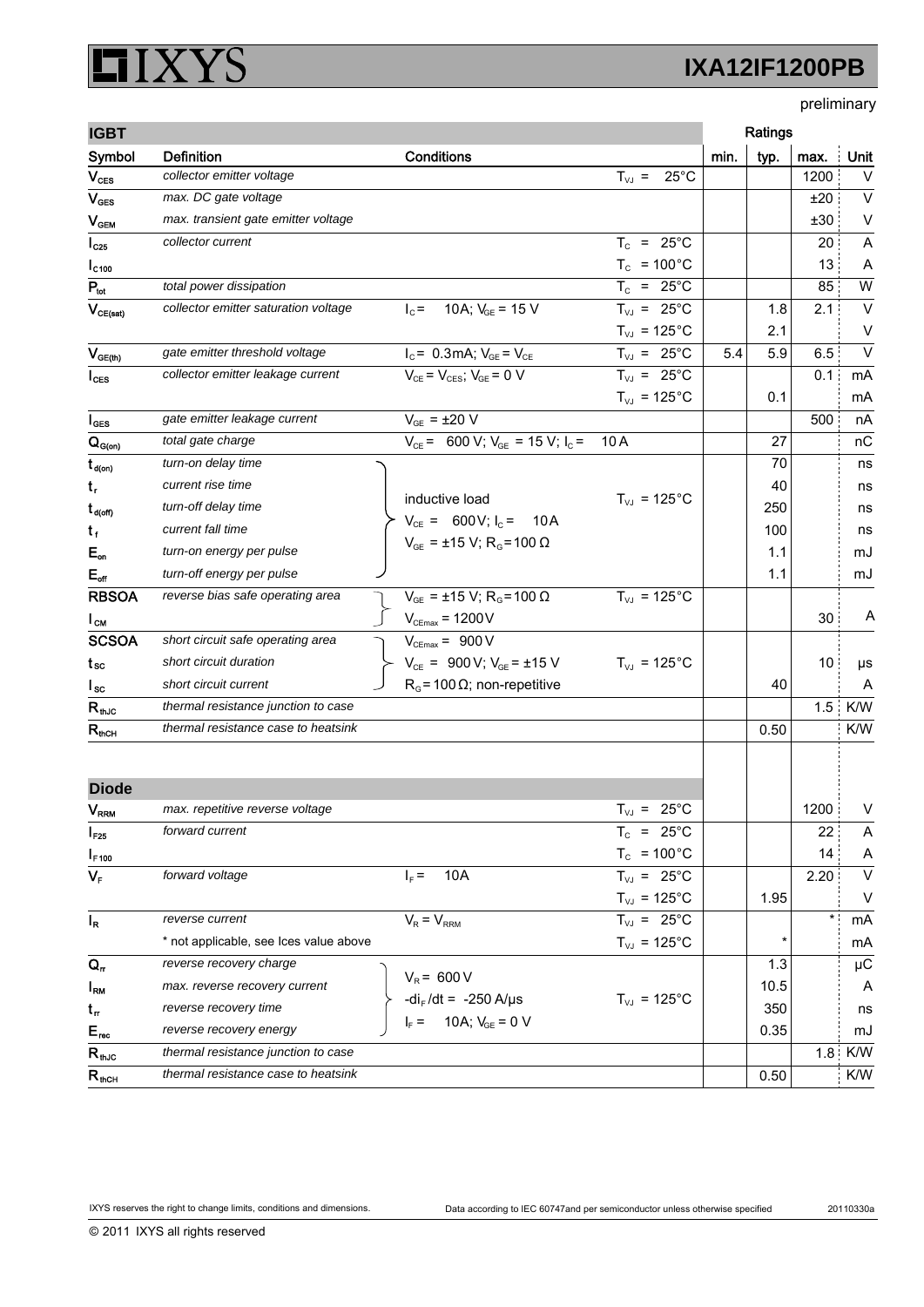### XYS I  $\Box$

# **IXA12IF1200PB**

preliminary

| <b>IGBT</b>                              |                                        |                                                                                                  |                               |      | Ratings |         |         |
|------------------------------------------|----------------------------------------|--------------------------------------------------------------------------------------------------|-------------------------------|------|---------|---------|---------|
| Symbol                                   | <b>Definition</b>                      | Conditions                                                                                       |                               | min. | typ.    | max.    | Unit    |
| $V_{\text{CES}}$                         | collector emitter voltage              |                                                                                                  | $25^{\circ}$ C<br>$T_{V_1}$ = |      |         | 1200    | $\vee$  |
| $V_{\text{GES}}$                         | max. DC gate voltage                   |                                                                                                  |                               |      |         | ±20     | $\vee$  |
| V <sub>CEM</sub>                         | max. transient gate emitter voltage    |                                                                                                  |                               |      |         | ±30     | $\vee$  |
| $I_{C25}$                                | collector current                      |                                                                                                  | $T_c$ = 25°C                  |      |         | 20      | A       |
| $l_{c100}$                               |                                        |                                                                                                  | $T_c$ = 100°C                 |      |         | 13      | A       |
| $P_{tot}$                                | total power dissipation                |                                                                                                  | $T_c$ = 25°C                  |      |         | 85      | W       |
| $\mathsf{V}_{\mathsf{CE}(\mathsf{sat})}$ | collector emitter saturation voltage   | 10A; $V_{GE}$ = 15 V<br>$I_c =$                                                                  | $T_{VJ}$ = 25°C               |      | 1.8     | 2.1     | $\vee$  |
|                                          |                                        |                                                                                                  | $T_{VJ}$ = 125°C              |      | 2.1     |         | V       |
| $V_{GE(th)}$                             | gate emitter threshold voltage         | $I_c = 0.3$ mA; $V_{GE} = V_{CE}$                                                                | $T_{VJ}$ = 25°C               | 5.4  | 5.9     | 6.5     | $\vee$  |
| $I_{\text{CES}}$                         | collector emitter leakage current      | $V_{CE} = V_{CES}$ ; $V_{GE} = 0$ V                                                              | $T_{VJ}$ = 25°C               |      |         | 0.1     | mA      |
|                                          |                                        |                                                                                                  | $T_{VJ}$ = 125°C              |      | 0.1     |         | mA      |
| $I_{\texttt{GES}}$                       | gate emitter leakage current           | $V_{GE} = \pm 20 \text{ V}$                                                                      |                               |      |         | 500     | nA      |
| $Q_{G(on)}$                              | total gate charge                      | $V_{CE}$ = 600 V; V <sub>GE</sub> = 15 V; I <sub>C</sub> =                                       | 10A                           |      | 27      |         | nC      |
| $t_{d(on)}$                              | turn-on delay time                     |                                                                                                  |                               |      | 70      |         | ns      |
| t,                                       | current rise time                      | inductive load                                                                                   | $T_{VJ}$ = 125°C              |      | 40      |         | ns      |
| $t_{\text{d(off)}}$                      | turn-off delay time                    | $V_{CE}$ = 600V; $I_C$ = 10A                                                                     |                               |      | 250     |         | ns      |
| $t_{f}$                                  | current fall time                      | $V_{GE}$ = ±15 V; R <sub>G</sub> =100 Ω                                                          |                               |      | 100     |         | ns      |
| $E_{on}$                                 | turn-on energy per pulse               |                                                                                                  |                               |      | 1.1     |         | mJ      |
| $E_{\text{off}}$                         | turn-off energy per pulse              |                                                                                                  |                               |      | 1.1     |         | mJ      |
| <b>RBSOA</b>                             | reverse bias safe operating area       | $V_{GE}$ = ±15 V; R <sub>G</sub> =100 Ω                                                          | $T_{VJ}$ = 125°C              |      |         |         |         |
| $I_{CM}$                                 |                                        | $V_{CEmax}$ = 1200 V                                                                             |                               |      |         | 30      | A       |
| <b>SCSOA</b>                             | short circuit safe operating area      | $V_{CEmax} = 900 V$                                                                              |                               |      |         |         |         |
| t sc                                     | short circuit duration                 | $V_{CE}$ = 900 V; $V_{GE}$ = ±15 V                                                               | $T_{VJ}$ = 125°C              |      |         | 10      | μs      |
| $I_{SC}$                                 | short circuit current                  | $RG$ = 100 $\Omega$ ; non-repetitive                                                             |                               |      | 40      |         | A       |
| $R_{th,IC}$                              | thermal resistance junction to case    |                                                                                                  |                               |      |         | 1.5     | K/W     |
| $R_{\text{mCH}}$                         | thermal resistance case to heatsink    |                                                                                                  |                               |      | 0.50    |         | K/W     |
|                                          |                                        |                                                                                                  |                               |      |         |         |         |
| <b>Diode</b>                             |                                        |                                                                                                  |                               |      |         |         |         |
| $V_{RRM}$                                | max. repetitive reverse voltage        |                                                                                                  | $T_{VJ}$ = 25°C               |      |         | 1200    | V       |
| $I_{F25}$                                | forward current                        |                                                                                                  | $T_c$ = 25°C                  |      |         | 22      | A       |
| $I_{F,100}$                              |                                        |                                                                                                  | $T_c$ = 100 $^{\circ}$ C      |      |         | 14      | Α       |
| $V_F$                                    | forward voltage                        | 10A<br>$I_F =$                                                                                   | $T_{VJ}$ = 25°C               |      |         | 2.20    | $\vee$  |
|                                          |                                        |                                                                                                  | $T_{VJ}$ = 125°C              |      | 1.95    |         | V       |
| $I_R$                                    | reverse current                        | $V_R = V_{RRM}$                                                                                  | $T_{VJ}$ = 25°C               |      |         | $\star$ | mA      |
|                                          | * not applicable, see Ices value above |                                                                                                  | $T_{VJ}$ = 125°C              |      | $\star$ |         | mA      |
| $Q_{\sf n}$                              | reverse recovery charge                |                                                                                                  |                               |      | 1.3     |         | $\mu$ C |
| $I_{\rm RM}$                             | max. reverse recovery current          | $V_R$ = 600 V<br>-di <sub>F</sub> /dt = -250 A/µs<br>I <sub>F</sub> = 10A; V <sub>GE</sub> = 0 V |                               |      | 10.5    |         | A       |
| $t_{\rm r}$                              | reverse recovery time                  |                                                                                                  | $T_{VJ}$ = 125°C              |      | 350     |         | ns      |
| $E_{\text{rec}}$                         | reverse recovery energy                |                                                                                                  |                               |      | 0.35    |         | mJ      |
| $R_{\text{thJC}}$                        | thermal resistance junction to case    |                                                                                                  |                               |      |         | 1.8     | K/W     |
| $R_{\text{mCH}}$                         | thermal resistance case to heatsink    |                                                                                                  |                               |      | 0.50    |         | K/W     |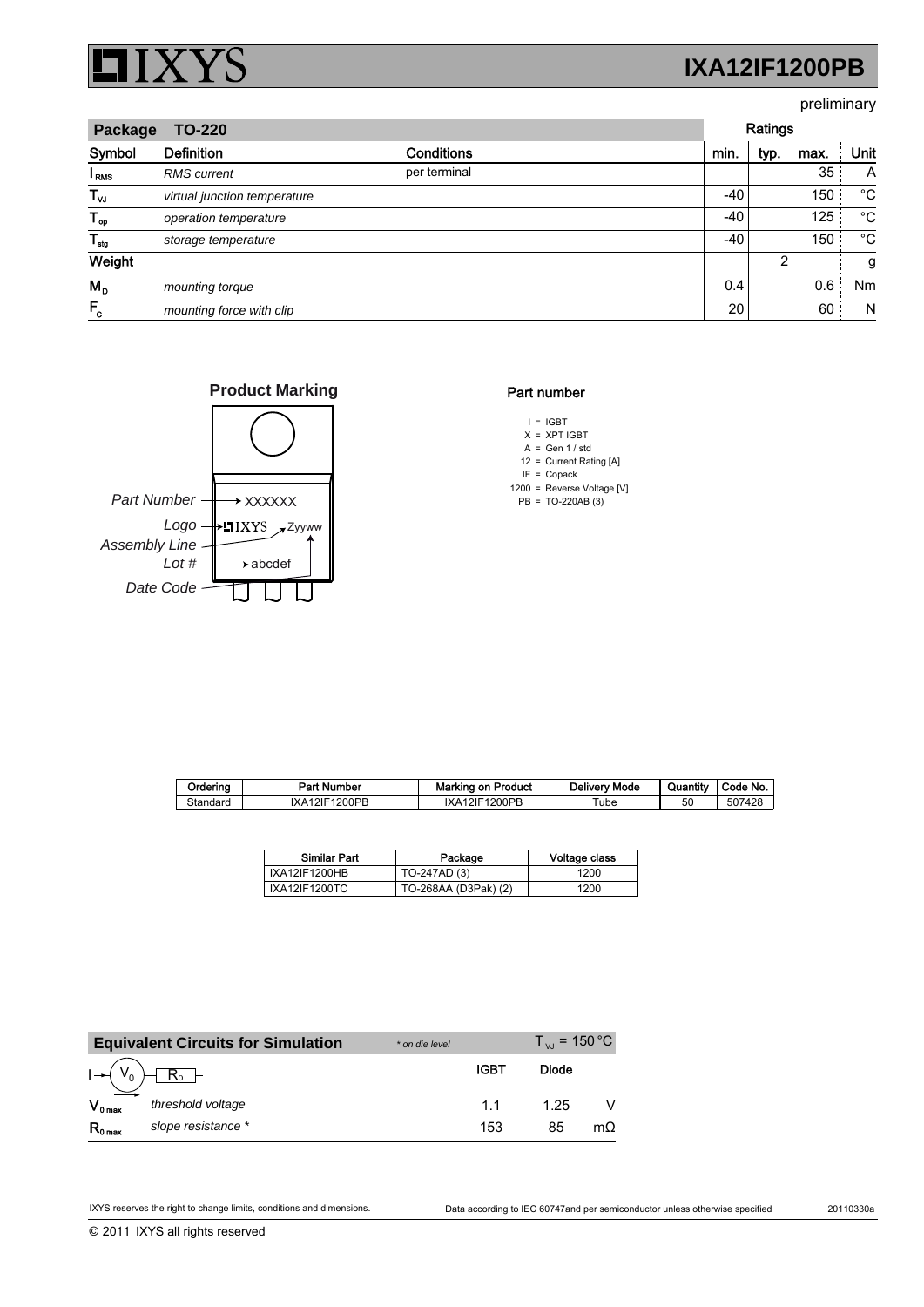

### preliminary

| Package          | <b>TO-220</b>                |                   |      | Ratings |      |             |  |
|------------------|------------------------------|-------------------|------|---------|------|-------------|--|
| Symbol           | <b>Definition</b>            | <b>Conditions</b> | min. | typ.    | max. | Unit        |  |
| l <sub>RMS</sub> | <b>RMS</b> current           | per terminal      |      |         | 35   | A           |  |
| $T_{\nu J}$      | virtual junction temperature |                   |      | $-40$   | 150  | $^{\circ}C$ |  |
| $T_{op}$         | operation temperature        |                   |      | $-40$   | 125  | $^{\circ}C$ |  |
| $T_{\text{sq}}$  | storage temperature          |                   |      | $-40$   | 150  | $^{\circ}C$ |  |
| Weight           |                              |                   |      | 2       |      | g           |  |
| $M_{\rm p}$      | mounting torque              |                   |      | 0.4     | 0.6  | Nm          |  |
| $F_c$            | mounting force with clip     |                   |      | 20      | 60   | N           |  |





### Part number

- $I = IGBT$
- X = XPT IGBT
- $A = Gen 1 / std$ 12 Current Rating [A] =
- $IF = Copack$
- 1200 = Reverse Voltage [V]
- $PB = TO-220AB(3)$

| Orderina | Part Number   | <b>Marking on Product</b> | Delivery Mode | Quantity | Code No. |
|----------|---------------|---------------------------|---------------|----------|----------|
| Standard | IXA12IF1200PB | IXA12IF1200PB             | ™ube          | 50       | 507428   |

| <b>Similar Part</b> | Package              | Voltage class |
|---------------------|----------------------|---------------|
| IXA12IF1200HB       | TO-247AD (3)         | 1200          |
| IXA12IF1200TC       | TO-268AA (D3Pak) (2) | 1200          |

|                                   | <b>Equivalent Circuits for Simulation</b> | * on die level |             | $T_{\rm VI}$ = 150 °C |     |
|-----------------------------------|-------------------------------------------|----------------|-------------|-----------------------|-----|
| $I \rightarrow (V_0) \boxed{R_0}$ |                                           |                | <b>IGBT</b> | <b>Diode</b>          |     |
| $V_{0 \max}$                      | threshold voltage                         |                | 11          | 1.25                  |     |
| $R_{0 \text{ max}}$               | slope resistance *                        |                | 153         | 85                    | mΩ. |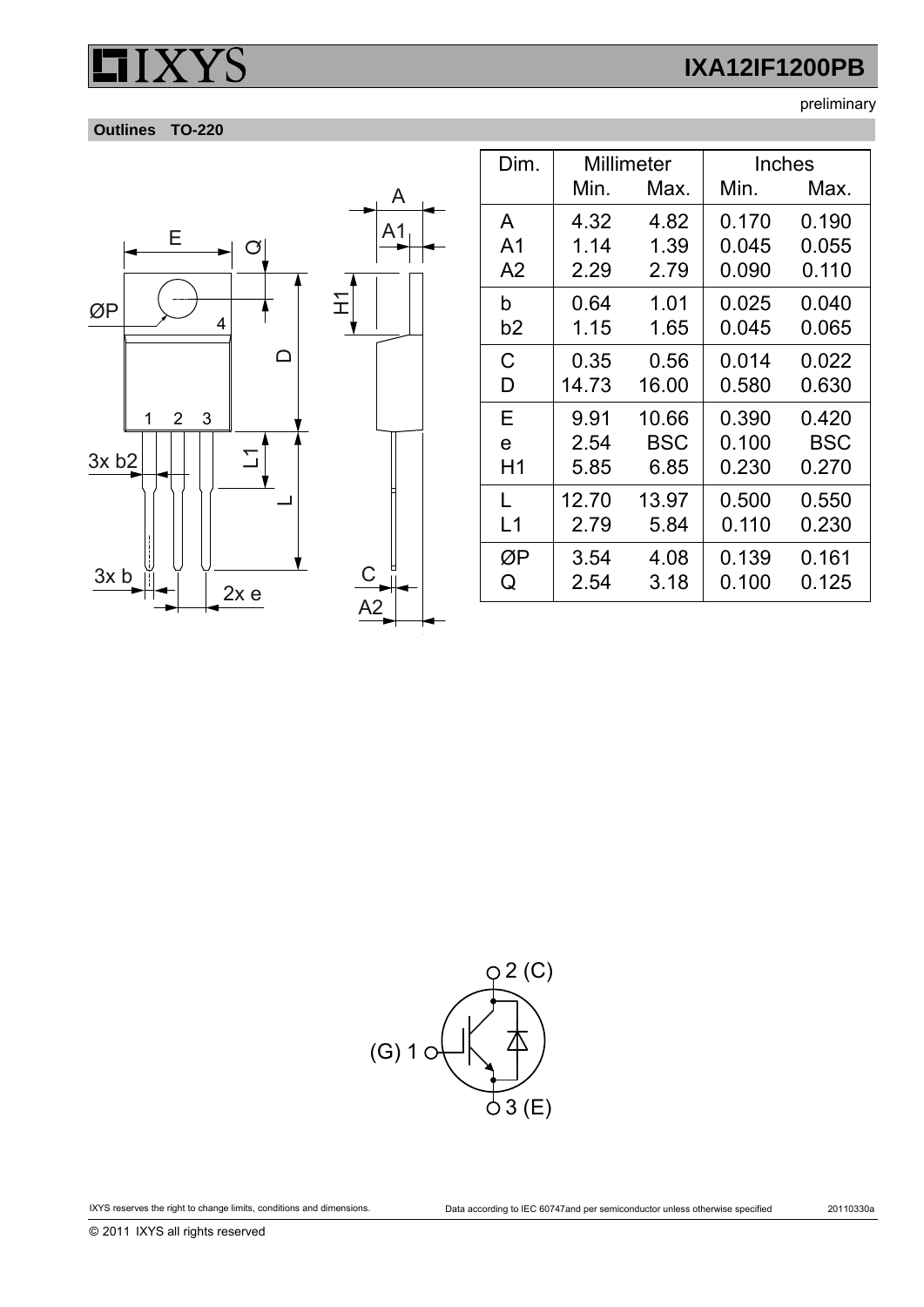preliminary



A2



© 2011 IXYS all rights reserved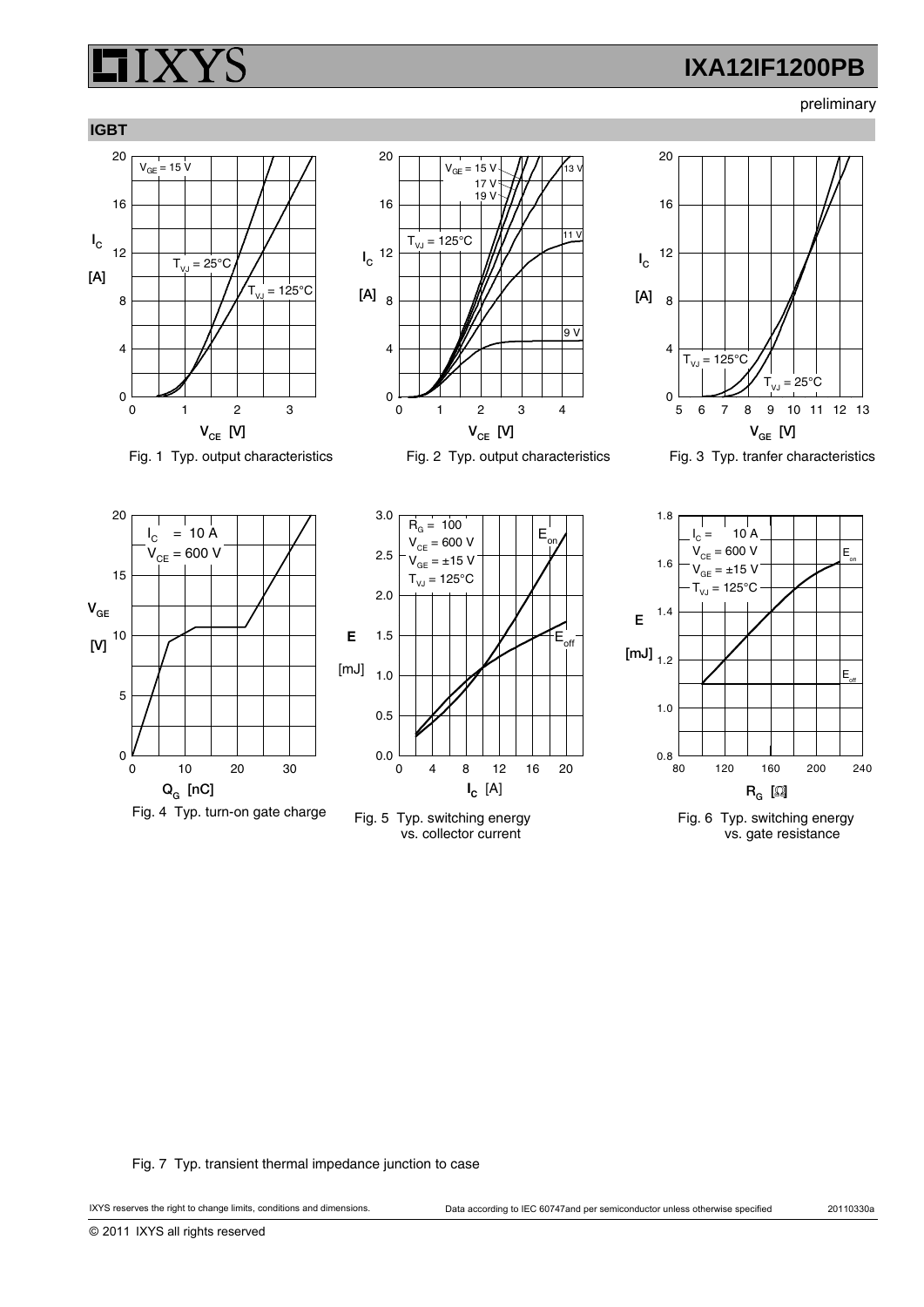preliminary







Fig. 1 Typ. output characteristics



 $\mathsf{V}_{\mathsf{GE}}$ 

[V]



Fig. 5 Typ. switching energy vs. collector current



Fig. 6 Typ. switching energy vs. gate resistance

Fig. 7 Typ. transient thermal impedance junction to case